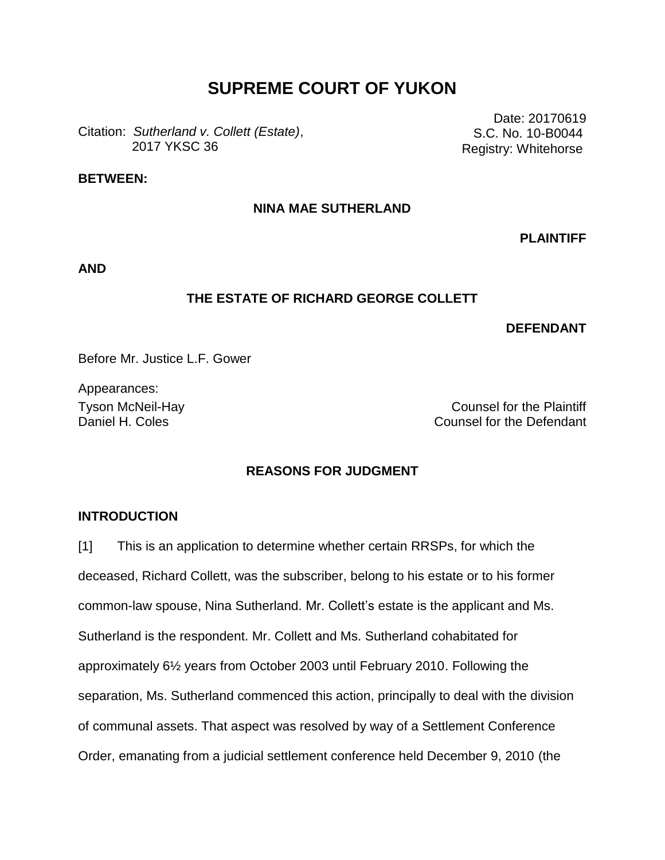# **SUPREME COURT OF YUKON**

Citation: *Sutherland v. Collett (Estate)*, 2017 YKSC 36

Date: 20170619 S.C. No. 10-B0044 Registry: Whitehorse

## **BETWEEN:**

## **NINA MAE SUTHERLAND**

**PLAINTIFF**

**AND**

## **THE ESTATE OF RICHARD GEORGE COLLETT**

#### **DEFENDANT**

Before Mr. Justice L.F. Gower

Appearances:

Tyson McNeil-Hay Counsel for the Plaintiff Daniel H. Coles Counsel for the Defendant

#### **REASONS FOR JUDGMENT**

## **INTRODUCTION**

[1] This is an application to determine whether certain RRSPs, for which the deceased, Richard Collett, was the subscriber, belong to his estate or to his former common-law spouse, Nina Sutherland. Mr. Collett's estate is the applicant and Ms. Sutherland is the respondent. Mr. Collett and Ms. Sutherland cohabitated for approximately 6½ years from October 2003 until February 2010. Following the separation, Ms. Sutherland commenced this action, principally to deal with the division of communal assets. That aspect was resolved by way of a Settlement Conference Order, emanating from a judicial settlement conference held December 9, 2010 (the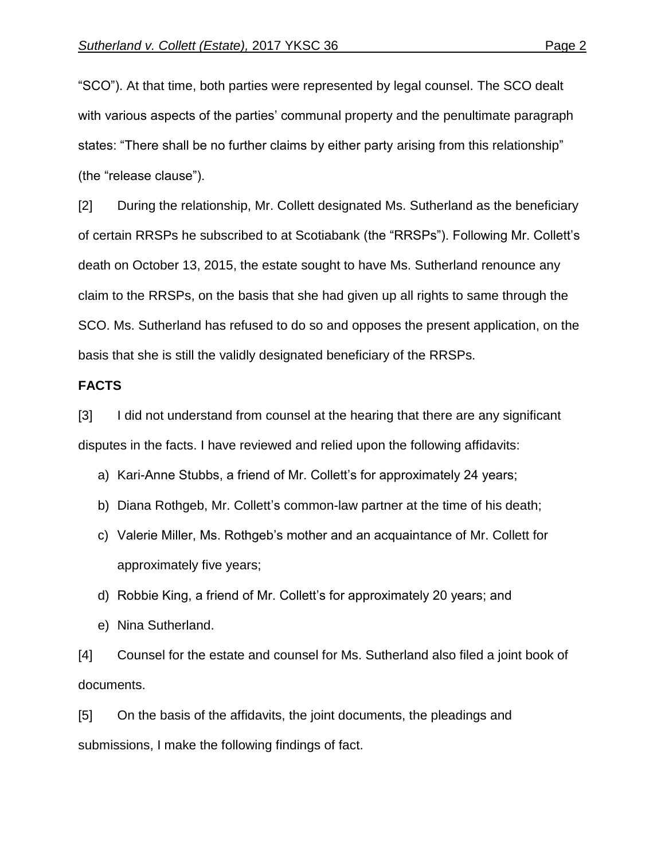"SCO"). At that time, both parties were represented by legal counsel. The SCO dealt with various aspects of the parties' communal property and the penultimate paragraph states: "There shall be no further claims by either party arising from this relationship" (the "release clause").

[2] During the relationship, Mr. Collett designated Ms. Sutherland as the beneficiary of certain RRSPs he subscribed to at Scotiabank (the "RRSPs"). Following Mr. Collett's death on October 13, 2015, the estate sought to have Ms. Sutherland renounce any claim to the RRSPs, on the basis that she had given up all rights to same through the SCO. Ms. Sutherland has refused to do so and opposes the present application, on the basis that she is still the validly designated beneficiary of the RRSPs.

# **FACTS**

[3] I did not understand from counsel at the hearing that there are any significant disputes in the facts. I have reviewed and relied upon the following affidavits:

- a) Kari-Anne Stubbs, a friend of Mr. Collett's for approximately 24 years;
- b) Diana Rothgeb, Mr. Collett's common-law partner at the time of his death;
- c) Valerie Miller, Ms. Rothgeb's mother and an acquaintance of Mr. Collett for approximately five years;
- d) Robbie King, a friend of Mr. Collett's for approximately 20 years; and
- e) Nina Sutherland.

[4] Counsel for the estate and counsel for Ms. Sutherland also filed a joint book of documents.

[5] On the basis of the affidavits, the joint documents, the pleadings and submissions, I make the following findings of fact.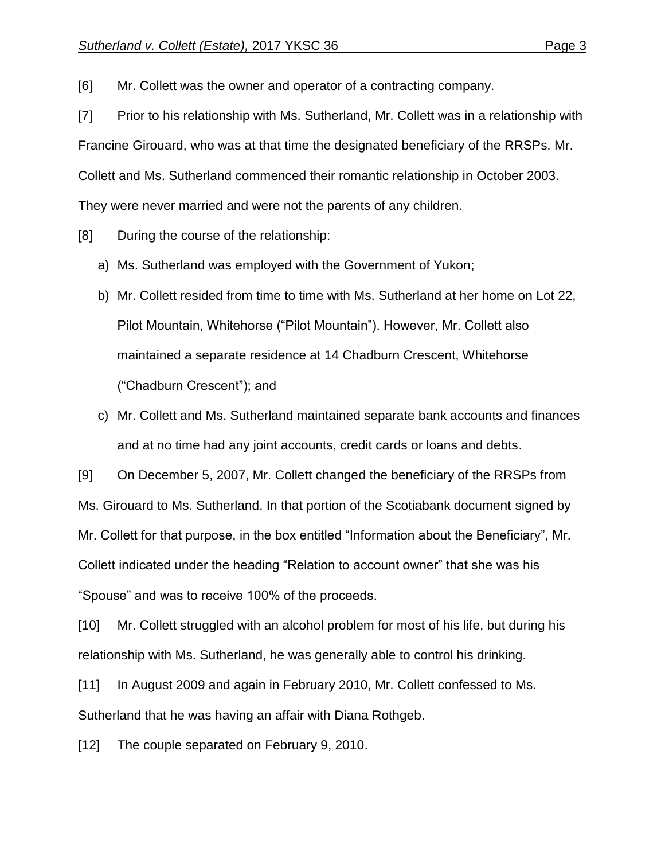[6] Mr. Collett was the owner and operator of a contracting company.

[7] Prior to his relationship with Ms. Sutherland, Mr. Collett was in a relationship with Francine Girouard, who was at that time the designated beneficiary of the RRSPs. Mr. Collett and Ms. Sutherland commenced their romantic relationship in October 2003. They were never married and were not the parents of any children.

[8] During the course of the relationship:

- a) Ms. Sutherland was employed with the Government of Yukon;
- b) Mr. Collett resided from time to time with Ms. Sutherland at her home on Lot 22, Pilot Mountain, Whitehorse ("Pilot Mountain"). However, Mr. Collett also maintained a separate residence at 14 Chadburn Crescent, Whitehorse ("Chadburn Crescent"); and
- c) Mr. Collett and Ms. Sutherland maintained separate bank accounts and finances and at no time had any joint accounts, credit cards or loans and debts.

[9] On December 5, 2007, Mr. Collett changed the beneficiary of the RRSPs from Ms. Girouard to Ms. Sutherland. In that portion of the Scotiabank document signed by Mr. Collett for that purpose, in the box entitled "Information about the Beneficiary", Mr. Collett indicated under the heading "Relation to account owner" that she was his "Spouse" and was to receive 100% of the proceeds.

[10] Mr. Collett struggled with an alcohol problem for most of his life, but during his relationship with Ms. Sutherland, he was generally able to control his drinking.

[11] In August 2009 and again in February 2010, Mr. Collett confessed to Ms. Sutherland that he was having an affair with Diana Rothgeb.

[12] The couple separated on February 9, 2010.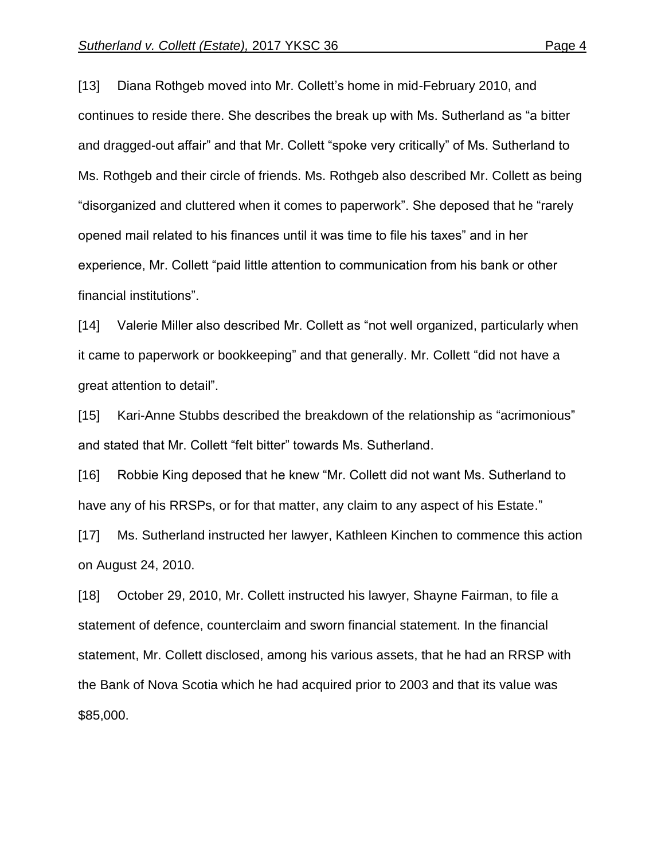[13] Diana Rothgeb moved into Mr. Collett's home in mid-February 2010, and continues to reside there. She describes the break up with Ms. Sutherland as "a bitter and dragged-out affair" and that Mr. Collett "spoke very critically" of Ms. Sutherland to Ms. Rothgeb and their circle of friends. Ms. Rothgeb also described Mr. Collett as being "disorganized and cluttered when it comes to paperwork". She deposed that he "rarely opened mail related to his finances until it was time to file his taxes" and in her experience, Mr. Collett "paid little attention to communication from his bank or other financial institutions".

[14] Valerie Miller also described Mr. Collett as "not well organized, particularly when it came to paperwork or bookkeeping" and that generally. Mr. Collett "did not have a great attention to detail".

[15] Kari-Anne Stubbs described the breakdown of the relationship as "acrimonious" and stated that Mr. Collett "felt bitter" towards Ms. Sutherland.

[16] Robbie King deposed that he knew "Mr. Collett did not want Ms. Sutherland to have any of his RRSPs, or for that matter, any claim to any aspect of his Estate."

[17] Ms. Sutherland instructed her lawyer, Kathleen Kinchen to commence this action on August 24, 2010.

[18] October 29, 2010, Mr. Collett instructed his lawyer, Shayne Fairman, to file a statement of defence, counterclaim and sworn financial statement. In the financial statement, Mr. Collett disclosed, among his various assets, that he had an RRSP with the Bank of Nova Scotia which he had acquired prior to 2003 and that its value was \$85,000.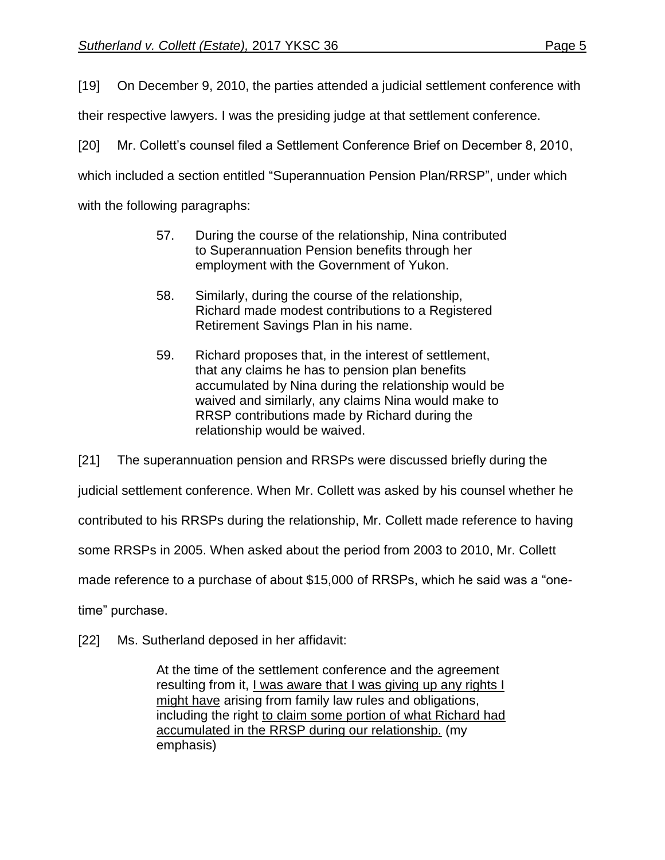[19] On December 9, 2010, the parties attended a judicial settlement conference with

their respective lawyers. I was the presiding judge at that settlement conference.

[20] Mr. Collett's counsel filed a Settlement Conference Brief on December 8, 2010,

which included a section entitled "Superannuation Pension Plan/RRSP", under which

with the following paragraphs:

- 57. During the course of the relationship, Nina contributed to Superannuation Pension benefits through her employment with the Government of Yukon.
- 58. Similarly, during the course of the relationship, Richard made modest contributions to a Registered Retirement Savings Plan in his name.
- 59. Richard proposes that, in the interest of settlement, that any claims he has to pension plan benefits accumulated by Nina during the relationship would be waived and similarly, any claims Nina would make to RRSP contributions made by Richard during the relationship would be waived.

[21] The superannuation pension and RRSPs were discussed briefly during the

judicial settlement conference. When Mr. Collett was asked by his counsel whether he

contributed to his RRSPs during the relationship, Mr. Collett made reference to having

some RRSPs in 2005. When asked about the period from 2003 to 2010, Mr. Collett

made reference to a purchase of about \$15,000 of RRSPs, which he said was a "one-

time" purchase.

[22] Ms. Sutherland deposed in her affidavit:

At the time of the settlement conference and the agreement resulting from it, I was aware that I was giving up any rights I might have arising from family law rules and obligations, including the right to claim some portion of what Richard had accumulated in the RRSP during our relationship. (my emphasis)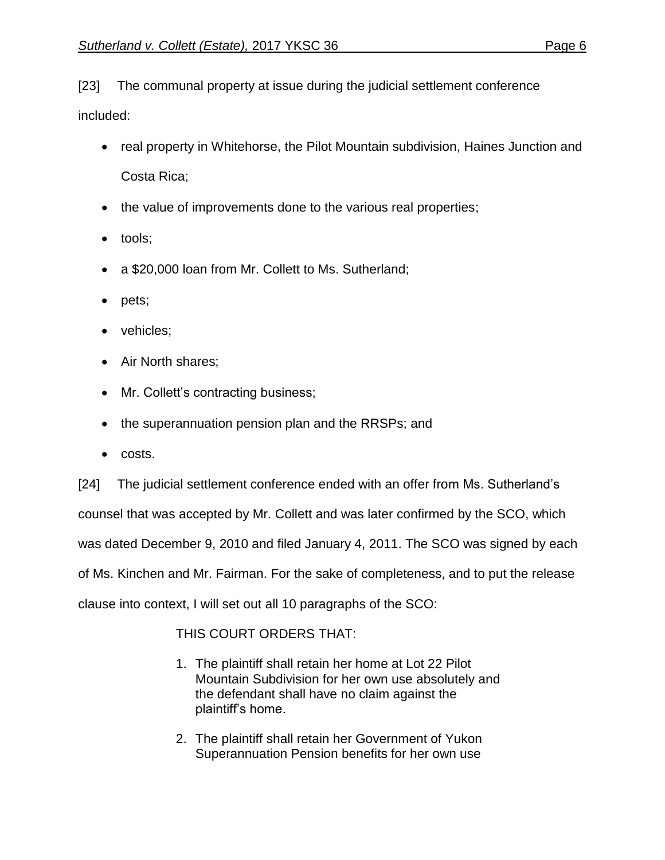[23] The communal property at issue during the judicial settlement conference

included:

- real property in Whitehorse, the Pilot Mountain subdivision, Haines Junction and Costa Rica;
- the value of improvements done to the various real properties;
- tools;
- a \$20,000 loan from Mr. Collett to Ms. Sutherland;
- pets;
- vehicles;
- Air North shares;
- Mr. Collett's contracting business;
- the superannuation pension plan and the RRSPs; and
- costs.

[24] The judicial settlement conference ended with an offer from Ms. Sutherland's counsel that was accepted by Mr. Collett and was later confirmed by the SCO, which was dated December 9, 2010 and filed January 4, 2011. The SCO was signed by each of Ms. Kinchen and Mr. Fairman. For the sake of completeness, and to put the release clause into context, I will set out all 10 paragraphs of the SCO:

# THIS COURT ORDERS THAT:

- 1. The plaintiff shall retain her home at Lot 22 Pilot Mountain Subdivision for her own use absolutely and the defendant shall have no claim against the plaintiff's home.
- 2. The plaintiff shall retain her Government of Yukon Superannuation Pension benefits for her own use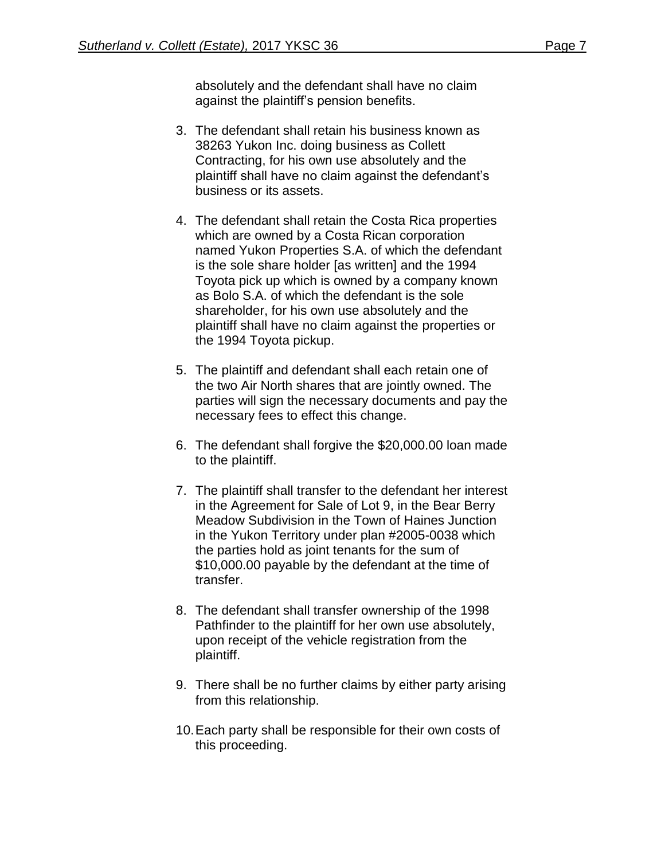absolutely and the defendant shall have no claim against the plaintiff's pension benefits.

- 3. The defendant shall retain his business known as 38263 Yukon Inc. doing business as Collett Contracting, for his own use absolutely and the plaintiff shall have no claim against the defendant's business or its assets.
- 4. The defendant shall retain the Costa Rica properties which are owned by a Costa Rican corporation named Yukon Properties S.A. of which the defendant is the sole share holder [as written] and the 1994 Toyota pick up which is owned by a company known as Bolo S.A. of which the defendant is the sole shareholder, for his own use absolutely and the plaintiff shall have no claim against the properties or the 1994 Toyota pickup.
- 5. The plaintiff and defendant shall each retain one of the two Air North shares that are jointly owned. The parties will sign the necessary documents and pay the necessary fees to effect this change.
- 6. The defendant shall forgive the \$20,000.00 loan made to the plaintiff.
- 7. The plaintiff shall transfer to the defendant her interest in the Agreement for Sale of Lot 9, in the Bear Berry Meadow Subdivision in the Town of Haines Junction in the Yukon Territory under plan #2005-0038 which the parties hold as joint tenants for the sum of \$10,000.00 payable by the defendant at the time of transfer.
- 8. The defendant shall transfer ownership of the 1998 Pathfinder to the plaintiff for her own use absolutely, upon receipt of the vehicle registration from the plaintiff.
- 9. There shall be no further claims by either party arising from this relationship.
- 10.Each party shall be responsible for their own costs of this proceeding.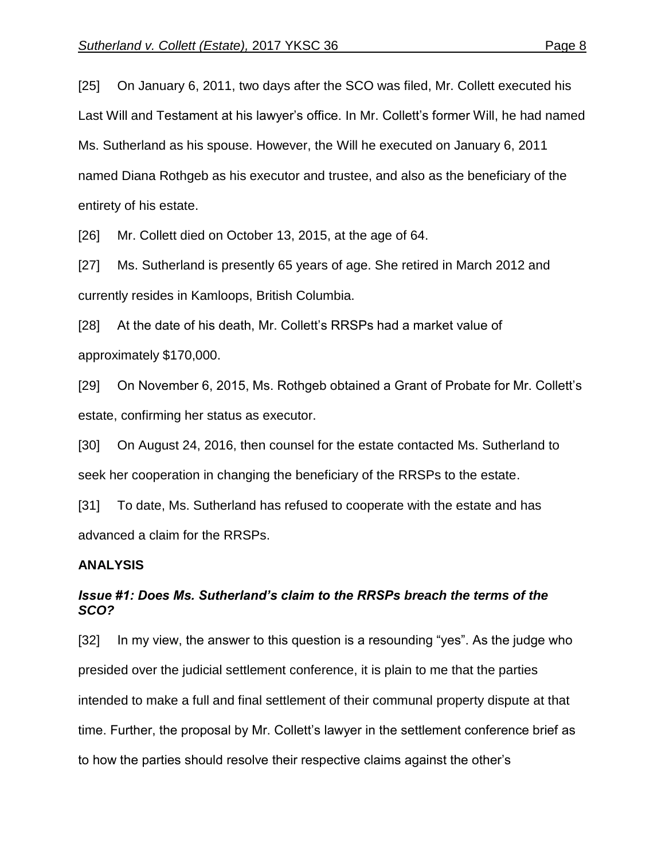[25] On January 6, 2011, two days after the SCO was filed, Mr. Collett executed his Last Will and Testament at his lawyer's office. In Mr. Collett's former Will, he had named Ms. Sutherland as his spouse. However, the Will he executed on January 6, 2011 named Diana Rothgeb as his executor and trustee, and also as the beneficiary of the entirety of his estate.

[26] Mr. Collett died on October 13, 2015, at the age of 64.

[27] Ms. Sutherland is presently 65 years of age. She retired in March 2012 and currently resides in Kamloops, British Columbia.

[28] At the date of his death, Mr. Collett's RRSPs had a market value of approximately \$170,000.

[29] On November 6, 2015, Ms. Rothgeb obtained a Grant of Probate for Mr. Collett's estate, confirming her status as executor.

[30] On August 24, 2016, then counsel for the estate contacted Ms. Sutherland to seek her cooperation in changing the beneficiary of the RRSPs to the estate.

[31] To date, Ms. Sutherland has refused to cooperate with the estate and has advanced a claim for the RRSPs.

## **ANALYSIS**

# *Issue #1: Does Ms. Sutherland's claim to the RRSPs breach the terms of the SCO?*

[32] In my view, the answer to this question is a resounding "yes". As the judge who presided over the judicial settlement conference, it is plain to me that the parties intended to make a full and final settlement of their communal property dispute at that time. Further, the proposal by Mr. Collett's lawyer in the settlement conference brief as to how the parties should resolve their respective claims against the other's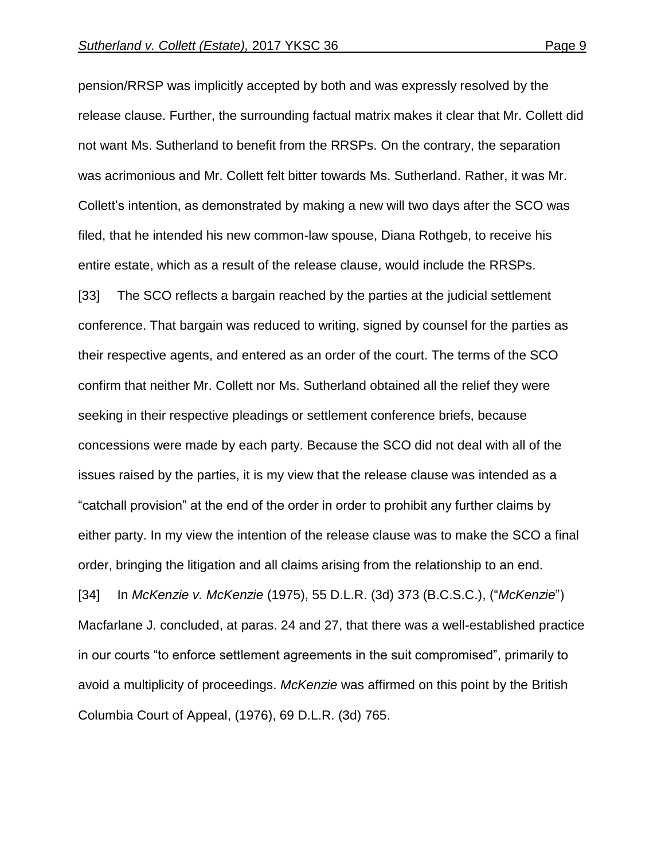pension/RRSP was implicitly accepted by both and was expressly resolved by the release clause. Further, the surrounding factual matrix makes it clear that Mr. Collett did not want Ms. Sutherland to benefit from the RRSPs. On the contrary, the separation was acrimonious and Mr. Collett felt bitter towards Ms. Sutherland. Rather, it was Mr. Collett's intention, as demonstrated by making a new will two days after the SCO was filed, that he intended his new common-law spouse, Diana Rothgeb, to receive his entire estate, which as a result of the release clause, would include the RRSPs. [33] The SCO reflects a bargain reached by the parties at the judicial settlement conference. That bargain was reduced to writing, signed by counsel for the parties as their respective agents, and entered as an order of the court. The terms of the SCO confirm that neither Mr. Collett nor Ms. Sutherland obtained all the relief they were seeking in their respective pleadings or settlement conference briefs, because concessions were made by each party. Because the SCO did not deal with all of the issues raised by the parties, it is my view that the release clause was intended as a "catchall provision" at the end of the order in order to prohibit any further claims by either party. In my view the intention of the release clause was to make the SCO a final order, bringing the litigation and all claims arising from the relationship to an end. [34] In *McKenzie v. McKenzie* (1975), 55 D.L.R. (3d) 373 (B.C.S.C.), ("*McKenzie*") Macfarlane J. concluded, at paras. 24 and 27, that there was a well-established practice in our courts "to enforce settlement agreements in the suit compromised", primarily to avoid a multiplicity of proceedings. *McKenzie* was affirmed on this point by the British Columbia Court of Appeal, (1976), 69 D.L.R. (3d) 765.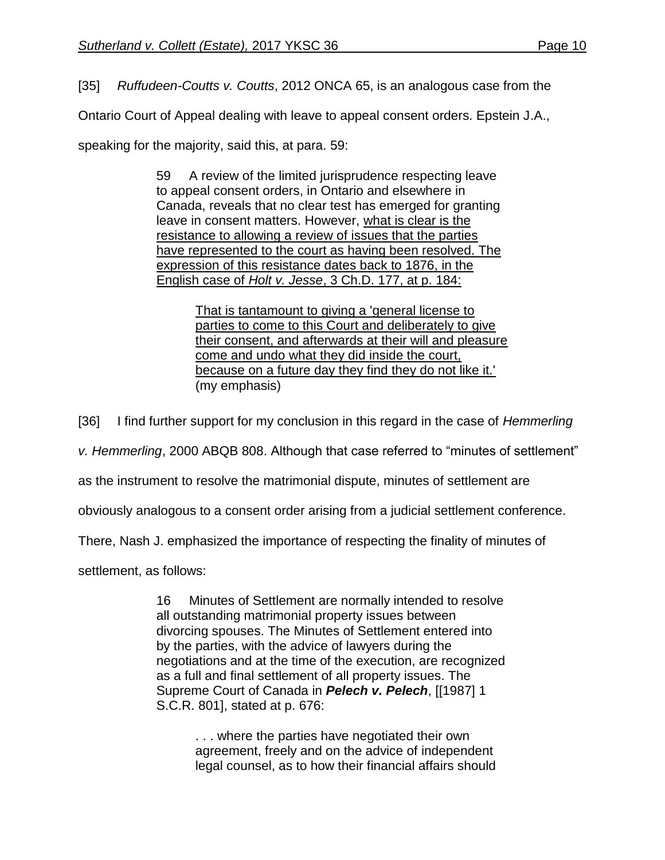[35] *Ruffudeen-Coutts v. Coutts*, 2012 ONCA 65, is an analogous case from the

Ontario Court of Appeal dealing with leave to appeal consent orders. Epstein J.A.,

speaking for the majority, said this, at para. 59:

59 A review of the limited jurisprudence respecting leave to appeal consent orders, in Ontario and elsewhere in Canada, reveals that no clear test has emerged for granting leave in consent matters. However, what is clear is the resistance to allowing a review of issues that the parties have represented to the court as having been resolved. The expression of this resistance dates back to 1876, in the English case of *Holt v. Jesse*, 3 Ch.D. 177, at p. 184:

> That is tantamount to giving a 'general license to parties to come to this Court and deliberately to give their consent, and afterwards at their will and pleasure come and undo what they did inside the court, because on a future day they find they do not like it.' (my emphasis)

[36] I find further support for my conclusion in this regard in the case of *Hemmerling* 

*v. Hemmerling*, 2000 ABQB 808. Although that case referred to "minutes of settlement"

as the instrument to resolve the matrimonial dispute, minutes of settlement are

obviously analogous to a consent order arising from a judicial settlement conference.

There, Nash J. emphasized the importance of respecting the finality of minutes of

settlement, as follows:

16 Minutes of Settlement are normally intended to resolve all outstanding matrimonial property issues between divorcing spouses. The Minutes of Settlement entered into by the parties, with the advice of lawyers during the negotiations and at the time of the execution, are recognized as a full and final settlement of all property issues. The Supreme Court of Canada in *Pelech v. Pelech*, [\[\[1987\] 1](http://www.lexisnexis.com/ca/legal/search/runRemoteLink.do?A=0.2807288392849395&bct=A&service=citation&risb=21_T26079600386&langcountry=CA&linkInfo=F%23CA%23SCR%23vol%251%25sel1%251987%25page%25801%25year%251987%25sel2%251%25)  [S.C.R. 801\]](http://www.lexisnexis.com/ca/legal/search/runRemoteLink.do?A=0.2807288392849395&bct=A&service=citation&risb=21_T26079600386&langcountry=CA&linkInfo=F%23CA%23SCR%23vol%251%25sel1%251987%25page%25801%25year%251987%25sel2%251%25), stated at p. 676:

> . . . where the parties have negotiated their own agreement, freely and on the advice of independent legal counsel, as to how their financial affairs should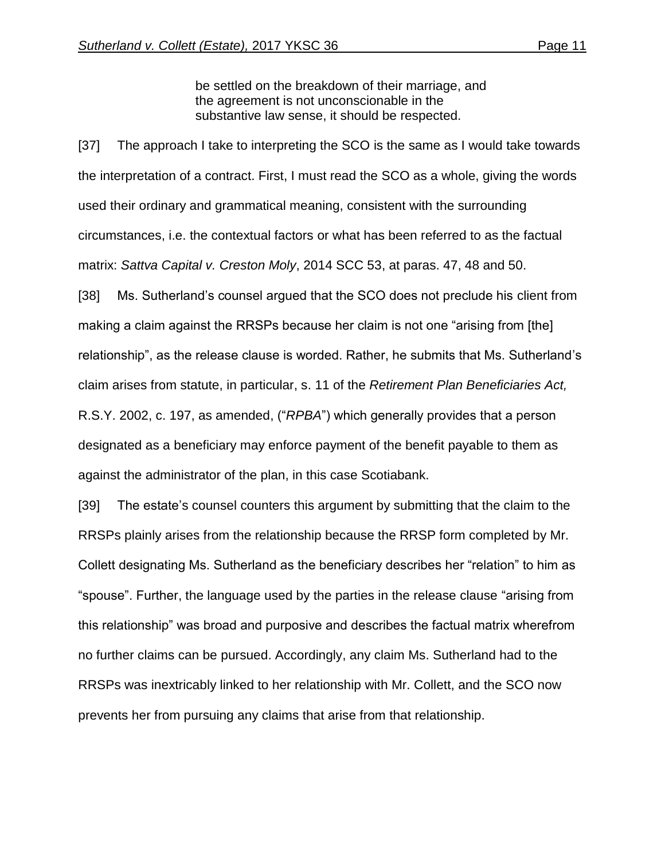be settled on the breakdown of their marriage, and the agreement is not unconscionable in the substantive law sense, it should be respected.

[37] The approach I take to interpreting the SCO is the same as I would take towards the interpretation of a contract. First, I must read the SCO as a whole, giving the words used their ordinary and grammatical meaning, consistent with the surrounding circumstances, i.e. the contextual factors or what has been referred to as the factual matrix: *Sattva Capital v. Creston Moly*, 2014 SCC 53, at paras. 47, 48 and 50. [38] Ms. Sutherland's counsel argued that the SCO does not preclude his client from making a claim against the RRSPs because her claim is not one "arising from [the] relationship", as the release clause is worded. Rather, he submits that Ms. Sutherland's claim arises from statute, in particular, s. 11 of the *Retirement Plan Beneficiaries Act,* R.S.Y. 2002, c. 197, as amended, ("*RPBA*") which generally provides that a person

designated as a beneficiary may enforce payment of the benefit payable to them as against the administrator of the plan, in this case Scotiabank.

[39] The estate's counsel counters this argument by submitting that the claim to the RRSPs plainly arises from the relationship because the RRSP form completed by Mr. Collett designating Ms. Sutherland as the beneficiary describes her "relation" to him as "spouse". Further, the language used by the parties in the release clause "arising from this relationship" was broad and purposive and describes the factual matrix wherefrom no further claims can be pursued. Accordingly, any claim Ms. Sutherland had to the RRSPs was inextricably linked to her relationship with Mr. Collett, and the SCO now prevents her from pursuing any claims that arise from that relationship.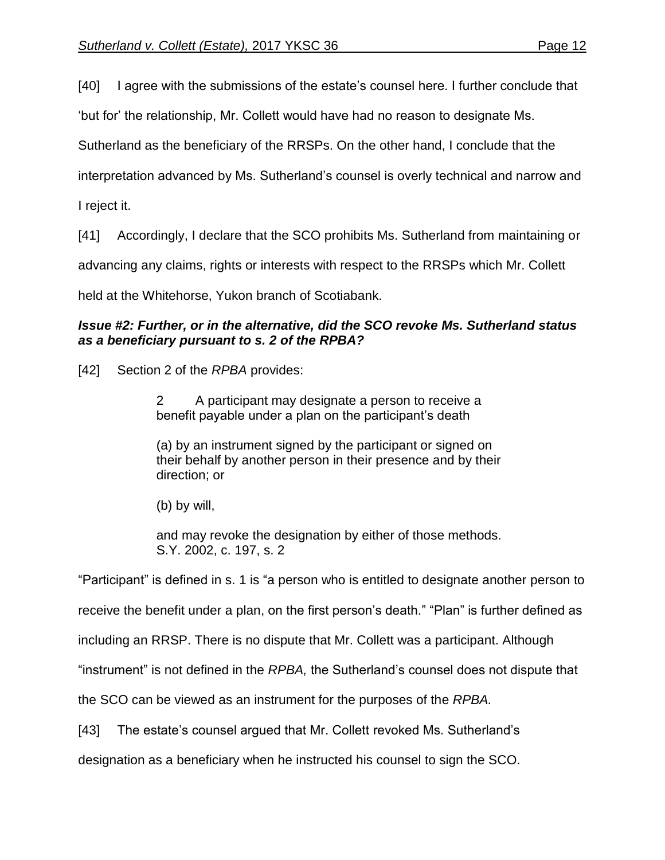[40] I agree with the submissions of the estate's counsel here. I further conclude that

'but for' the relationship, Mr. Collett would have had no reason to designate Ms.

Sutherland as the beneficiary of the RRSPs. On the other hand, I conclude that the

interpretation advanced by Ms. Sutherland's counsel is overly technical and narrow and

I reject it.

[41] Accordingly, I declare that the SCO prohibits Ms. Sutherland from maintaining or

advancing any claims, rights or interests with respect to the RRSPs which Mr. Collett

held at the Whitehorse, Yukon branch of Scotiabank.

# *Issue #2: Further, or in the alternative, did the SCO revoke Ms. Sutherland status as a beneficiary pursuant to s. 2 of the RPBA?*

[42] Section 2 of the *RPBA* provides:

2 A participant may designate a person to receive a benefit payable under a plan on the participant's death

(a) by an instrument signed by the participant or signed on their behalf by another person in their presence and by their direction; or

(b) by will,

and may revoke the designation by either of those methods. S.Y. 2002, c. 197, s. 2

"Participant" is defined in s. 1 is "a person who is entitled to designate another person to

receive the benefit under a plan, on the first person's death." "Plan" is further defined as

including an RRSP. There is no dispute that Mr. Collett was a participant. Although

"instrument" is not defined in the *RPBA,* the Sutherland's counsel does not dispute that

the SCO can be viewed as an instrument for the purposes of the *RPBA.* 

[43] The estate's counsel argued that Mr. Collett revoked Ms. Sutherland's

designation as a beneficiary when he instructed his counsel to sign the SCO.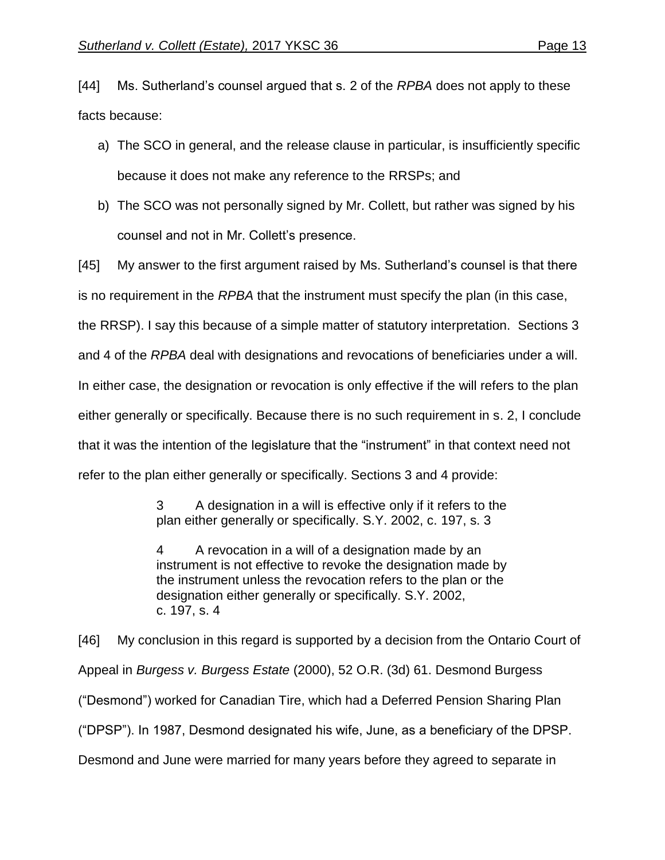[44] Ms. Sutherland's counsel argued that s. 2 of the *RPBA* does not apply to these facts because:

- a) The SCO in general, and the release clause in particular, is insufficiently specific because it does not make any reference to the RRSPs; and
- b) The SCO was not personally signed by Mr. Collett, but rather was signed by his counsel and not in Mr. Collett's presence.

[45] My answer to the first argument raised by Ms. Sutherland's counsel is that there is no requirement in the *RPBA* that the instrument must specify the plan (in this case, the RRSP). I say this because of a simple matter of statutory interpretation. Sections 3 and 4 of the *RPBA* deal with designations and revocations of beneficiaries under a will. In either case, the designation or revocation is only effective if the will refers to the plan either generally or specifically. Because there is no such requirement in s. 2, I conclude that it was the intention of the legislature that the "instrument" in that context need not refer to the plan either generally or specifically. Sections 3 and 4 provide:

> A designation in a will is effective only if it refers to the plan either generally or specifically. S.Y. 2002, c. 197, s. 3

> 4 A revocation in a will of a designation made by an instrument is not effective to revoke the designation made by the instrument unless the revocation refers to the plan or the designation either generally or specifically. S.Y. 2002, c. 197, s. 4

[46] My conclusion in this regard is supported by a decision from the Ontario Court of Appeal in *Burgess v. Burgess Estate* (2000), 52 O.R. (3d) 61. Desmond Burgess ("Desmond") worked for Canadian Tire, which had a Deferred Pension Sharing Plan ("DPSP"). In 1987, Desmond designated his wife, June, as a beneficiary of the DPSP. Desmond and June were married for many years before they agreed to separate in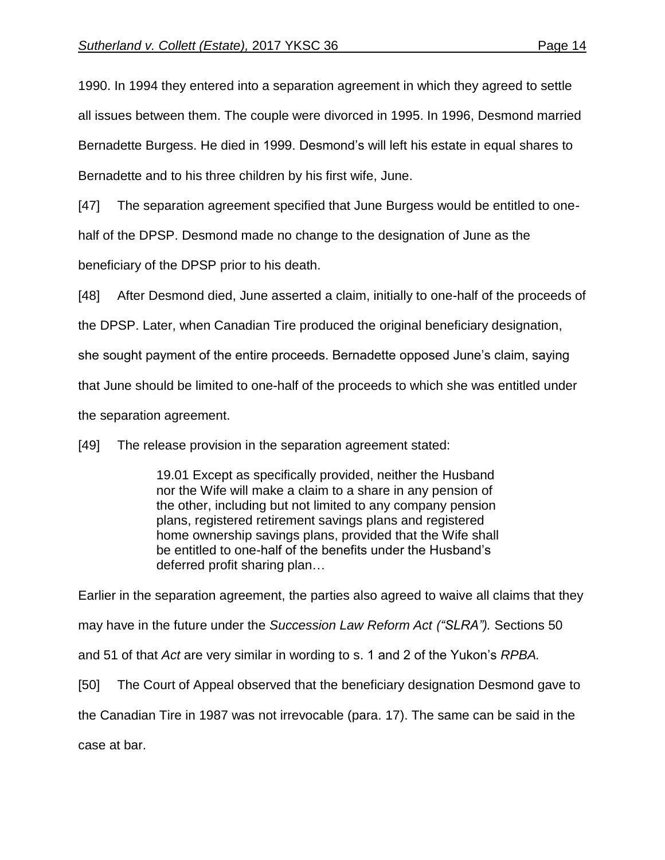1990. In 1994 they entered into a separation agreement in which they agreed to settle all issues between them. The couple were divorced in 1995. In 1996, Desmond married Bernadette Burgess. He died in 1999. Desmond's will left his estate in equal shares to Bernadette and to his three children by his first wife, June.

[47] The separation agreement specified that June Burgess would be entitled to one-

half of the DPSP. Desmond made no change to the designation of June as the

beneficiary of the DPSP prior to his death.

[48] After Desmond died, June asserted a claim, initially to one-half of the proceeds of

the DPSP. Later, when Canadian Tire produced the original beneficiary designation,

she sought payment of the entire proceeds. Bernadette opposed June's claim, saying

that June should be limited to one-half of the proceeds to which she was entitled under

the separation agreement.

[49] The release provision in the separation agreement stated:

19.01 Except as specifically provided, neither the Husband nor the Wife will make a claim to a share in any pension of the other, including but not limited to any company pension plans, registered retirement savings plans and registered home ownership savings plans, provided that the Wife shall be entitled to one-half of the benefits under the Husband's deferred profit sharing plan…

Earlier in the separation agreement, the parties also agreed to waive all claims that they may have in the future under the *Succession Law Reform Act ("SLRA").* Sections 50 and 51 of that *Act* are very similar in wording to s. 1 and 2 of the Yukon's *RPBA.* [50] The Court of Appeal observed that the beneficiary designation Desmond gave to the Canadian Tire in 1987 was not irrevocable (para. 17). The same can be said in the case at bar.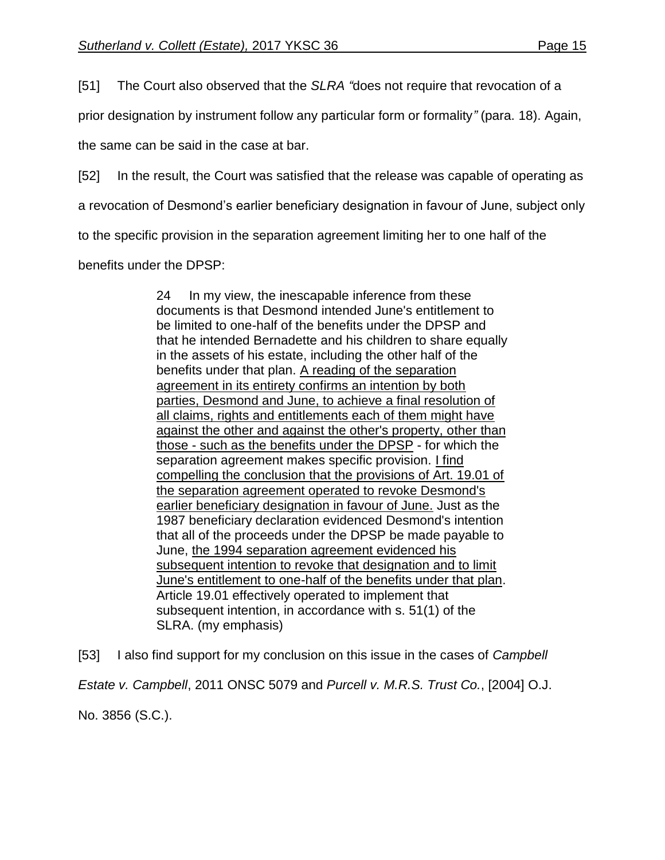[51] The Court also observed that the *SLRA "*does not require that revocation of a

prior designation by instrument follow any particular form or formality*"* (para. 18). Again,

the same can be said in the case at bar.

[52] In the result, the Court was satisfied that the release was capable of operating as

a revocation of Desmond's earlier beneficiary designation in favour of June, subject only

to the specific provision in the separation agreement limiting her to one half of the

benefits under the DPSP:

24 In my view, the inescapable inference from these documents is that Desmond intended June's entitlement to be limited to one-half of the benefits under the DPSP and that he intended Bernadette and his children to share equally in the assets of his estate, including the other half of the benefits under that plan. A reading of the separation agreement in its entirety confirms an intention by both parties, Desmond and June, to achieve a final resolution of all claims, rights and entitlements each of them might have against the other and against the other's property, other than those - such as the benefits under the DPSP - for which the separation agreement makes specific provision. I find compelling the conclusion that the provisions of Art. 19.01 of the separation agreement operated to revoke Desmond's earlier beneficiary designation in favour of June. Just as the 1987 beneficiary declaration evidenced Desmond's intention that all of the proceeds under the DPSP be made payable to June, the 1994 separation agreement evidenced his subsequent intention to revoke that designation and to limit June's entitlement to one-half of the benefits under that plan. Article 19.01 effectively operated to implement that subsequent intention, in accordance with s. 51(1) of the SLRA. (my emphasis)

[53] I also find support for my conclusion on this issue in the cases of *Campbell Estate v. Campbell*, 2011 ONSC 5079 and *Purcell v. M.R.S. Trust Co.*, [2004] O.J. No. 3856 (S.C.).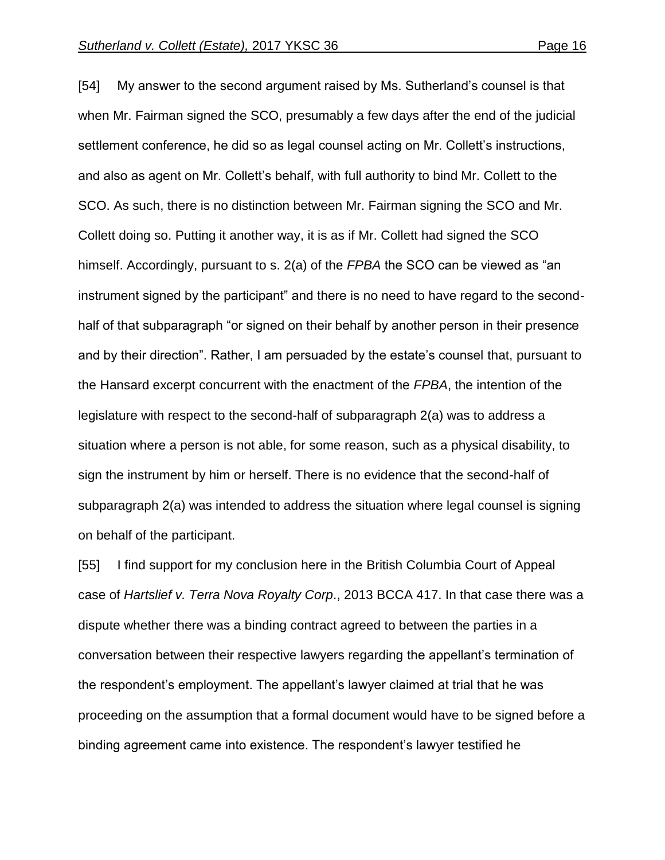[54] My answer to the second argument raised by Ms. Sutherland's counsel is that when Mr. Fairman signed the SCO, presumably a few days after the end of the judicial settlement conference, he did so as legal counsel acting on Mr. Collett's instructions, and also as agent on Mr. Collett's behalf, with full authority to bind Mr. Collett to the SCO. As such, there is no distinction between Mr. Fairman signing the SCO and Mr. Collett doing so. Putting it another way, it is as if Mr. Collett had signed the SCO himself. Accordingly, pursuant to s. 2(a) of the *FPBA* the SCO can be viewed as "an instrument signed by the participant" and there is no need to have regard to the secondhalf of that subparagraph "or signed on their behalf by another person in their presence and by their direction". Rather, I am persuaded by the estate's counsel that, pursuant to the Hansard excerpt concurrent with the enactment of the *FPBA*, the intention of the legislature with respect to the second-half of subparagraph 2(a) was to address a situation where a person is not able, for some reason, such as a physical disability, to sign the instrument by him or herself. There is no evidence that the second-half of subparagraph 2(a) was intended to address the situation where legal counsel is signing on behalf of the participant.

[55] I find support for my conclusion here in the British Columbia Court of Appeal case of *Hartslief v. Terra Nova Royalty Corp*., 2013 BCCA 417. In that case there was a dispute whether there was a binding contract agreed to between the parties in a conversation between their respective lawyers regarding the appellant's termination of the respondent's employment. The appellant's lawyer claimed at trial that he was proceeding on the assumption that a formal document would have to be signed before a binding agreement came into existence. The respondent's lawyer testified he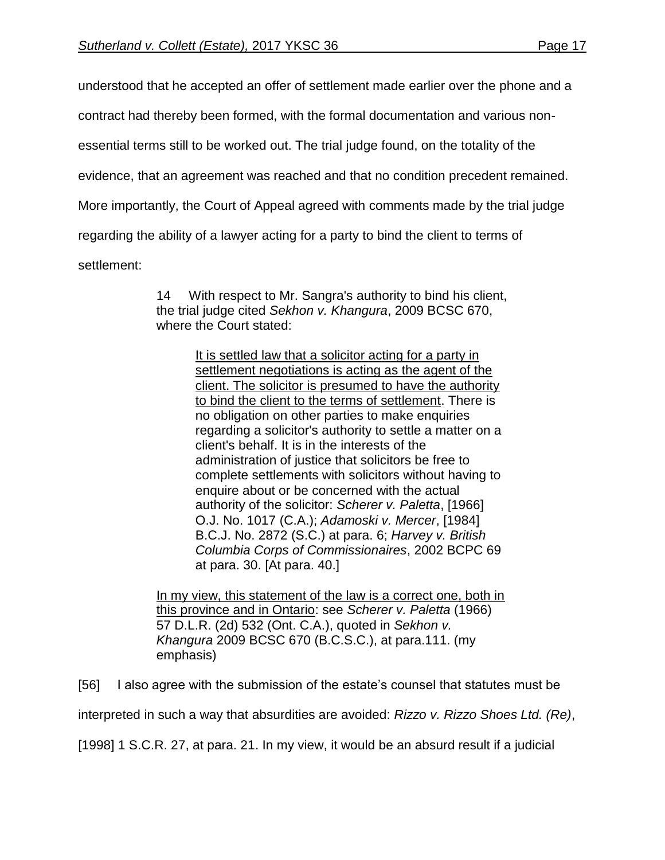understood that he accepted an offer of settlement made earlier over the phone and a

contract had thereby been formed, with the formal documentation and various non-

essential terms still to be worked out. The trial judge found, on the totality of the

evidence, that an agreement was reached and that no condition precedent remained.

More importantly, the Court of Appeal agreed with comments made by the trial judge

regarding the ability of a lawyer acting for a party to bind the client to terms of

settlement:

14 With respect to Mr. Sangra's authority to bind his client, the trial judge cited *Sekhon v. Khangura*, [2009 BCSC 670,](http://www.lexisnexis.com/ca/legal/search/runRemoteLink.do?A=0.4910408223726316&bct=A&service=citation&risb=21_T26079741290&langcountry=CA&linkInfo=F%23CA%23BCSC%23sel1%252009%25year%252009%25decisiondate%252009%25onum%25670%25) where the Court stated:

> It is settled law that a solicitor acting for a party in settlement negotiations is acting as the agent of the client. The solicitor is presumed to have the authority to bind the client to the terms of settlement. There is no obligation on other parties to make enquiries regarding a solicitor's authority to settle a matter on a client's behalf. It is in the interests of the administration of justice that solicitors be free to complete settlements with solicitors without having to enquire about or be concerned with the actual authority of the solicitor: *Scherer v. Paletta*, [\[1966\]](http://www.lexisnexis.com/ca/legal/search/runRemoteLink.do?A=0.1371085604376262&bct=A&service=citation&risb=21_T26079741290&langcountry=CA&linkInfo=F%23CA%23OJ%23ref%251017%25sel1%251966%25year%251966%25)  [O.J. No. 1017](http://www.lexisnexis.com/ca/legal/search/runRemoteLink.do?A=0.1371085604376262&bct=A&service=citation&risb=21_T26079741290&langcountry=CA&linkInfo=F%23CA%23OJ%23ref%251017%25sel1%251966%25year%251966%25) (C.A.); *Adamoski v. Mercer*, [\[1984\]](http://www.lexisnexis.com/ca/legal/search/runRemoteLink.do?A=0.31522902141214915&bct=A&service=citation&risb=21_T26079741290&langcountry=CA&linkInfo=F%23CA%23BCJ%23ref%252872%25sel1%251984%25year%251984%25)  [B.C.J. No. 2872](http://www.lexisnexis.com/ca/legal/search/runRemoteLink.do?A=0.31522902141214915&bct=A&service=citation&risb=21_T26079741290&langcountry=CA&linkInfo=F%23CA%23BCJ%23ref%252872%25sel1%251984%25year%251984%25) (S.C.) at para. 6; *Harvey v. British Columbia Corps of Commissionaires*, [2002 BCPC 69](http://www.lexisnexis.com/ca/legal/search/runRemoteLink.do?A=0.06748611980783958&bct=A&service=citation&risb=21_T26079741290&langcountry=CA&linkInfo=F%23CA%23BCPC%23sel1%252002%25year%252002%25decisiondate%252002%25onum%2569%25) at para. 30. [At para. 40.]

In my view, this statement of the law is a correct one, both in this province and in Ontario: see *Scherer v. Paletta* [\(1966\)](http://www.lexisnexis.com/ca/legal/search/runRemoteLink.do?A=0.022442947411370207&bct=A&service=citation&risb=21_T26079741290&langcountry=CA&linkInfo=F%23CA%23DLR2%23vol%2557%25sel1%251966%25page%25532%25year%251966%25sel2%2557%25decisiondate%251966%25)  [57 D.L.R. \(2d\) 532](http://www.lexisnexis.com/ca/legal/search/runRemoteLink.do?A=0.022442947411370207&bct=A&service=citation&risb=21_T26079741290&langcountry=CA&linkInfo=F%23CA%23DLR2%23vol%2557%25sel1%251966%25page%25532%25year%251966%25sel2%2557%25decisiondate%251966%25) (Ont. C.A.), quoted in *Sekhon v. Khangura* [2009 BCSC 670](http://www.lexisnexis.com/ca/legal/search/runRemoteLink.do?A=0.0572946612159182&bct=A&service=citation&risb=21_T26079741290&langcountry=CA&linkInfo=F%23CA%23BCSC%23sel1%252009%25year%252009%25decisiondate%252009%25onum%25670%25) (B.C.S.C.), at para.111. (my emphasis)

[56] I also agree with the submission of the estate's counsel that statutes must be

interpreted in such a way that absurdities are avoided: *Rizzo v. Rizzo Shoes Ltd. (Re)*,

[1998] 1 S.C.R. 27, at para. 21. In my view, it would be an absurd result if a judicial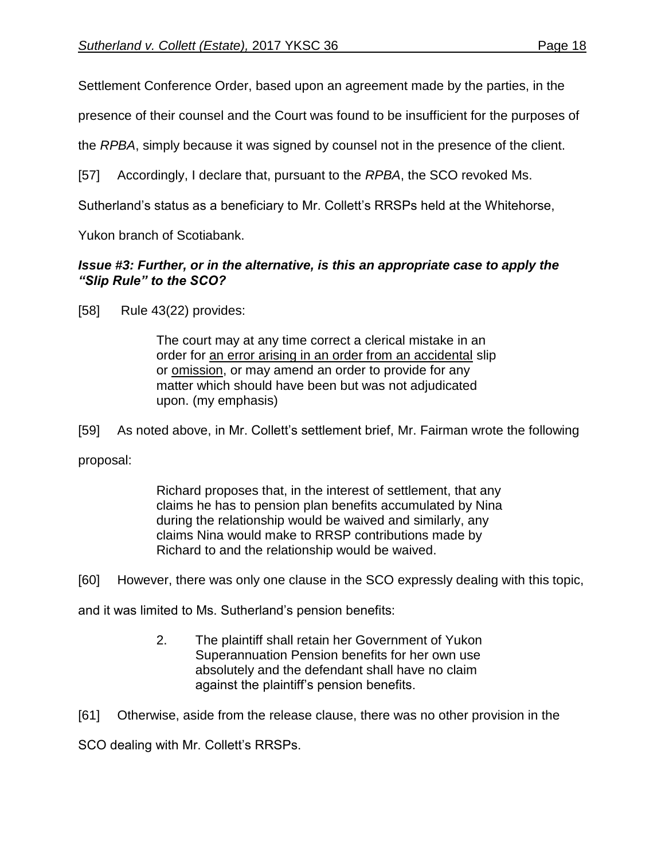Settlement Conference Order, based upon an agreement made by the parties, in the

presence of their counsel and the Court was found to be insufficient for the purposes of

the *RPBA*, simply because it was signed by counsel not in the presence of the client.

[57] Accordingly, I declare that, pursuant to the *RPBA*, the SCO revoked Ms.

Sutherland's status as a beneficiary to Mr. Collett's RRSPs held at the Whitehorse,

Yukon branch of Scotiabank.

# *Issue #3: Further, or in the alternative, is this an appropriate case to apply the "Slip Rule" to the SCO?*

[58] Rule 43(22) provides:

The court may at any time correct a clerical mistake in an order for an error arising in an order from an accidental slip or omission, or may amend an order to provide for any matter which should have been but was not adjudicated upon. (my emphasis)

[59] As noted above, in Mr. Collett's settlement brief, Mr. Fairman wrote the following

proposal:

Richard proposes that, in the interest of settlement, that any claims he has to pension plan benefits accumulated by Nina during the relationship would be waived and similarly, any claims Nina would make to RRSP contributions made by Richard to and the relationship would be waived.

[60] However, there was only one clause in the SCO expressly dealing with this topic,

and it was limited to Ms. Sutherland's pension benefits:

2. The plaintiff shall retain her Government of Yukon Superannuation Pension benefits for her own use absolutely and the defendant shall have no claim against the plaintiff's pension benefits.

[61] Otherwise, aside from the release clause, there was no other provision in the

SCO dealing with Mr. Collett's RRSPs.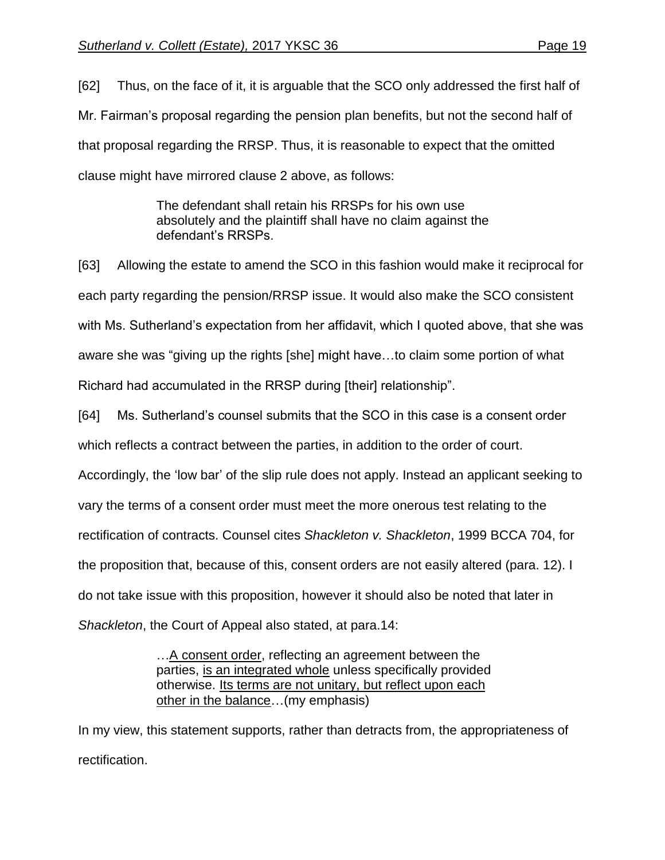[62] Thus, on the face of it, it is arguable that the SCO only addressed the first half of Mr. Fairman's proposal regarding the pension plan benefits, but not the second half of that proposal regarding the RRSP. Thus, it is reasonable to expect that the omitted clause might have mirrored clause 2 above, as follows:

> The defendant shall retain his RRSPs for his own use absolutely and the plaintiff shall have no claim against the defendant's RRSPs.

[63] Allowing the estate to amend the SCO in this fashion would make it reciprocal for each party regarding the pension/RRSP issue. It would also make the SCO consistent with Ms. Sutherland's expectation from her affidavit, which I quoted above, that she was aware she was "giving up the rights [she] might have…to claim some portion of what Richard had accumulated in the RRSP during [their] relationship".

[64] Ms. Sutherland's counsel submits that the SCO in this case is a consent order which reflects a contract between the parties, in addition to the order of court.

Accordingly, the 'low bar' of the slip rule does not apply. Instead an applicant seeking to

vary the terms of a consent order must meet the more onerous test relating to the

rectification of contracts. Counsel cites *Shackleton v. Shackleton*, 1999 BCCA 704, for

the proposition that, because of this, consent orders are not easily altered (para. 12). I

do not take issue with this proposition, however it should also be noted that later in

*Shackleton*, the Court of Appeal also stated, at para.14:

…A consent order, reflecting an agreement between the parties, is an integrated whole unless specifically provided otherwise. Its terms are not unitary, but reflect upon each other in the balance…(my emphasis)

In my view, this statement supports, rather than detracts from, the appropriateness of rectification.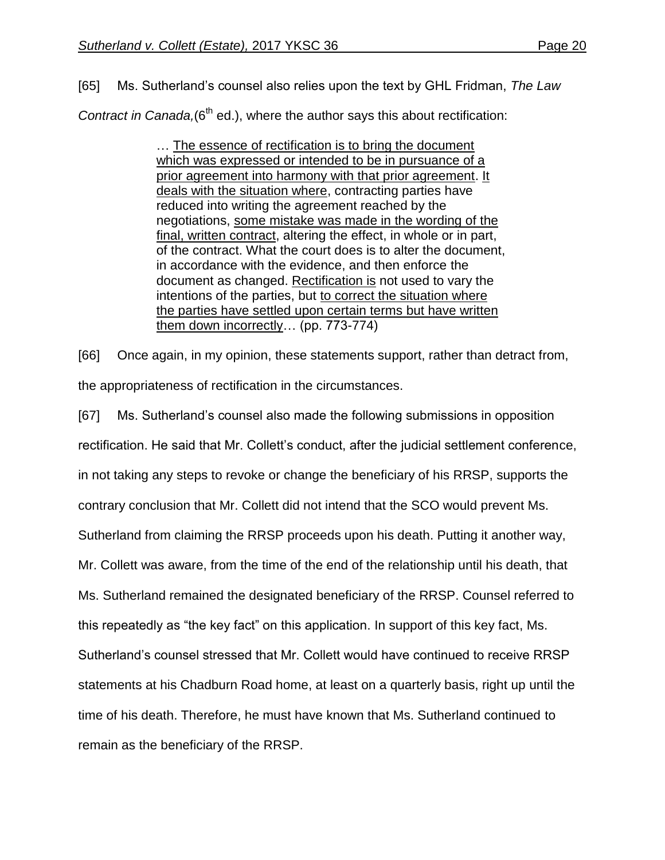[65] Ms. Sutherland's counsel also relies upon the text by GHL Fridman, *The Law Contract in Canada,*(6<sup>th</sup> ed.), where the author says this about rectification:

> … The essence of rectification is to bring the document which was expressed or intended to be in pursuance of a prior agreement into harmony with that prior agreement. It deals with the situation where, contracting parties have reduced into writing the agreement reached by the negotiations, some mistake was made in the wording of the final, written contract, altering the effect, in whole or in part, of the contract. What the court does is to alter the document, in accordance with the evidence, and then enforce the document as changed. Rectification is not used to vary the intentions of the parties, but to correct the situation where the parties have settled upon certain terms but have written them down incorrectly… (pp. 773-774)

[66] Once again, in my opinion, these statements support, rather than detract from, the appropriateness of rectification in the circumstances.

[67] Ms. Sutherland's counsel also made the following submissions in opposition rectification. He said that Mr. Collett's conduct, after the judicial settlement conference, in not taking any steps to revoke or change the beneficiary of his RRSP, supports the contrary conclusion that Mr. Collett did not intend that the SCO would prevent Ms. Sutherland from claiming the RRSP proceeds upon his death. Putting it another way, Mr. Collett was aware, from the time of the end of the relationship until his death, that Ms. Sutherland remained the designated beneficiary of the RRSP. Counsel referred to this repeatedly as "the key fact" on this application. In support of this key fact, Ms. Sutherland's counsel stressed that Mr. Collett would have continued to receive RRSP statements at his Chadburn Road home, at least on a quarterly basis, right up until the time of his death. Therefore, he must have known that Ms. Sutherland continued to remain as the beneficiary of the RRSP.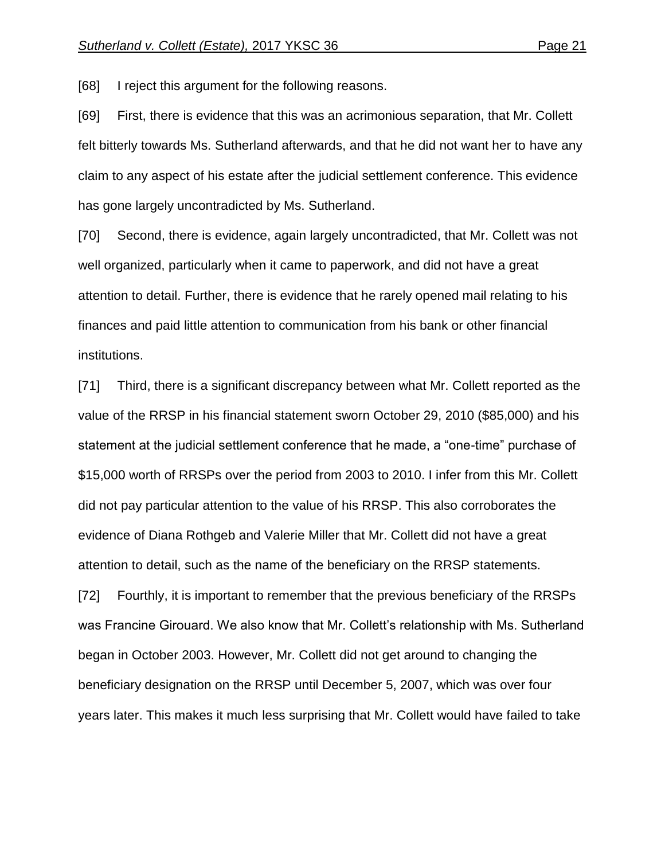[68] I reject this argument for the following reasons.

[69] First, there is evidence that this was an acrimonious separation, that Mr. Collett felt bitterly towards Ms. Sutherland afterwards, and that he did not want her to have any claim to any aspect of his estate after the judicial settlement conference. This evidence has gone largely uncontradicted by Ms. Sutherland.

[70] Second, there is evidence, again largely uncontradicted, that Mr. Collett was not well organized, particularly when it came to paperwork, and did not have a great attention to detail. Further, there is evidence that he rarely opened mail relating to his finances and paid little attention to communication from his bank or other financial institutions.

[71] Third, there is a significant discrepancy between what Mr. Collett reported as the value of the RRSP in his financial statement sworn October 29, 2010 (\$85,000) and his statement at the judicial settlement conference that he made, a "one-time" purchase of \$15,000 worth of RRSPs over the period from 2003 to 2010. I infer from this Mr. Collett did not pay particular attention to the value of his RRSP. This also corroborates the evidence of Diana Rothgeb and Valerie Miller that Mr. Collett did not have a great attention to detail, such as the name of the beneficiary on the RRSP statements.

[72] Fourthly, it is important to remember that the previous beneficiary of the RRSPs was Francine Girouard. We also know that Mr. Collett's relationship with Ms. Sutherland began in October 2003. However, Mr. Collett did not get around to changing the beneficiary designation on the RRSP until December 5, 2007, which was over four years later. This makes it much less surprising that Mr. Collett would have failed to take